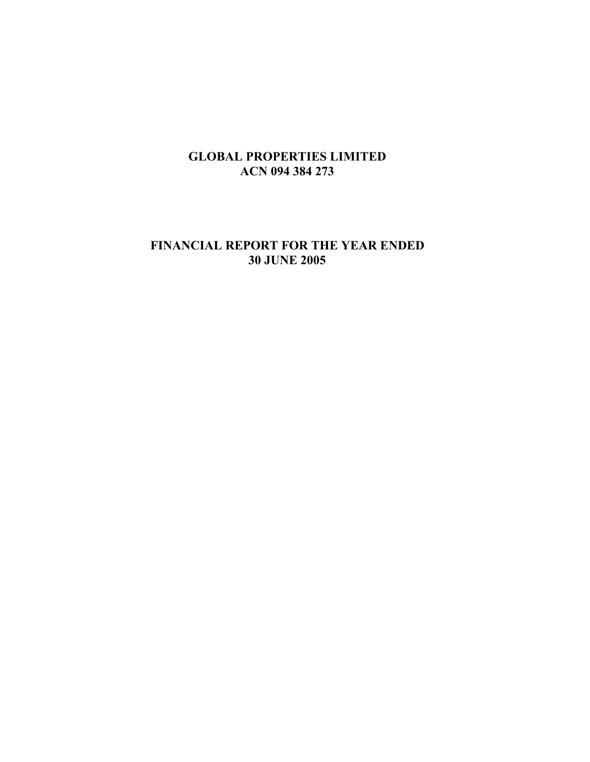# **FINANCIAL REPORT FOR THE YEAR ENDED 30 JUNE 2005**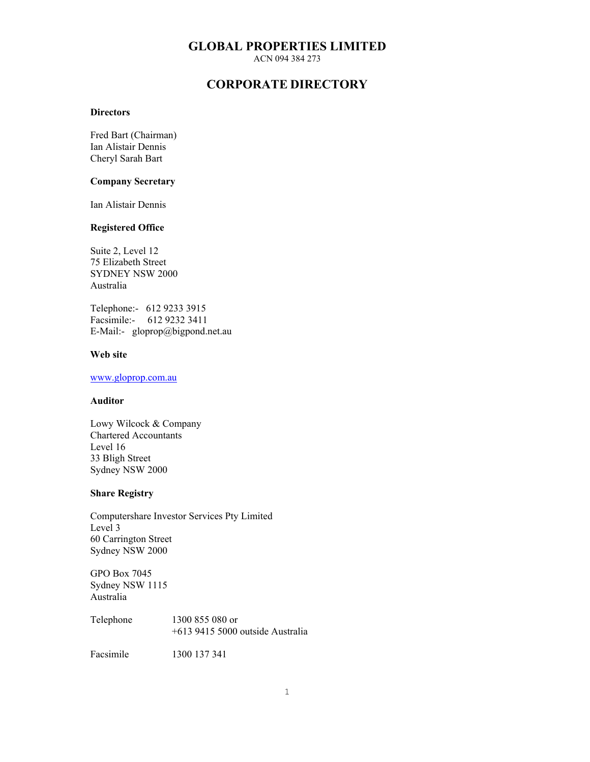## **GLOBAL PROPERTIES LIMITED**

ACN 094 384 273

## **CORPORATE DIRECTORY**

#### **Directors**

Fred Bart (Chairman) Ian Alistair Dennis Cheryl Sarah Bart

#### **Company Secretary**

Ian Alistair Dennis

### **Registered Office**

Suite 2, Level 12 75 Elizabeth Street SYDNEY NSW 2000 Australia

Telephone:- 612 9233 3915 Facsimile:- 612 9232 3411 E-Mail:- gloprop@bigpond.net.au

### **Web site**

## www.gloprop.com.au

#### **Auditor**

Lowy Wilcock & Company Chartered Accountants Level 16 33 Bligh Street Sydney NSW 2000

#### **Share Registry**

Computershare Investor Services Pty Limited Level 3 60 Carrington Street Sydney NSW 2000

GPO Box 7045 Sydney NSW 1115 Australia

Telephone 1300 855 080 or +613 9415 5000 outside Australia

Facsimile 1300 137 341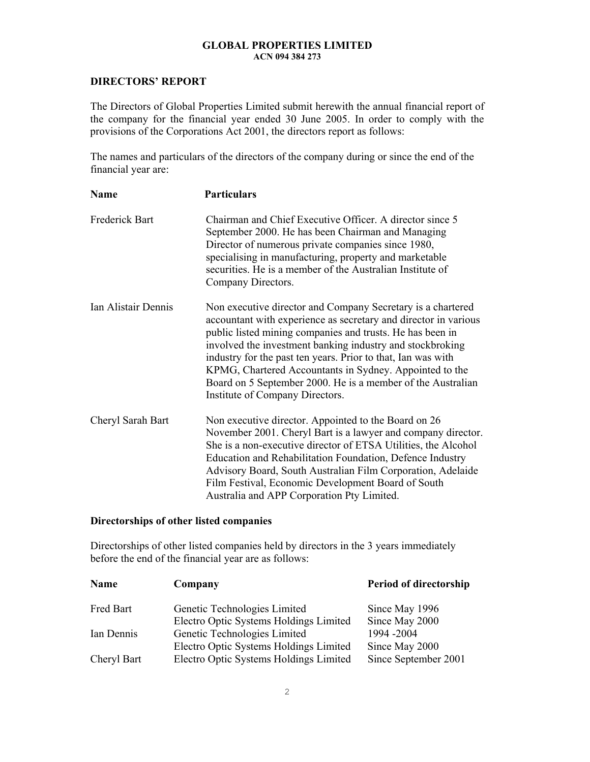## **DIRECTORS' REPORT**

The Directors of Global Properties Limited submit herewith the annual financial report of the company for the financial year ended 30 June 2005. In order to comply with the provisions of the Corporations Act 2001, the directors report as follows:

The names and particulars of the directors of the company during or since the end of the financial year are:

| Name                | <b>Particulars</b>                                                                                                                                                                                                                                                                                                                                                                                                                                                                    |
|---------------------|---------------------------------------------------------------------------------------------------------------------------------------------------------------------------------------------------------------------------------------------------------------------------------------------------------------------------------------------------------------------------------------------------------------------------------------------------------------------------------------|
| Frederick Bart      | Chairman and Chief Executive Officer. A director since 5<br>September 2000. He has been Chairman and Managing<br>Director of numerous private companies since 1980,<br>specialising in manufacturing, property and marketable<br>securities. He is a member of the Australian Institute of<br>Company Directors.                                                                                                                                                                      |
| Ian Alistair Dennis | Non executive director and Company Secretary is a chartered<br>accountant with experience as secretary and director in various<br>public listed mining companies and trusts. He has been in<br>involved the investment banking industry and stockbroking<br>industry for the past ten years. Prior to that, Ian was with<br>KPMG, Chartered Accountants in Sydney. Appointed to the<br>Board on 5 September 2000. He is a member of the Australian<br>Institute of Company Directors. |
| Cheryl Sarah Bart   | Non executive director. Appointed to the Board on 26<br>November 2001. Cheryl Bart is a lawyer and company director.<br>She is a non-executive director of ETSA Utilities, the Alcohol<br>Education and Rehabilitation Foundation, Defence Industry<br>Advisory Board, South Australian Film Corporation, Adelaide<br>Film Festival, Economic Development Board of South<br>Australia and APP Corporation Pty Limited.                                                                |

### **Directorships of other listed companies**

Directorships of other listed companies held by directors in the 3 years immediately before the end of the financial year are as follows:

| Name        | Company                                | Period of directorship |
|-------------|----------------------------------------|------------------------|
| Fred Bart   | Genetic Technologies Limited           | Since May 1996         |
|             | Electro Optic Systems Holdings Limited | Since May 2000         |
| Ian Dennis  | Genetic Technologies Limited           | 1994-2004              |
|             | Electro Optic Systems Holdings Limited | Since May 2000         |
| Cheryl Bart | Electro Optic Systems Holdings Limited | Since September 2001   |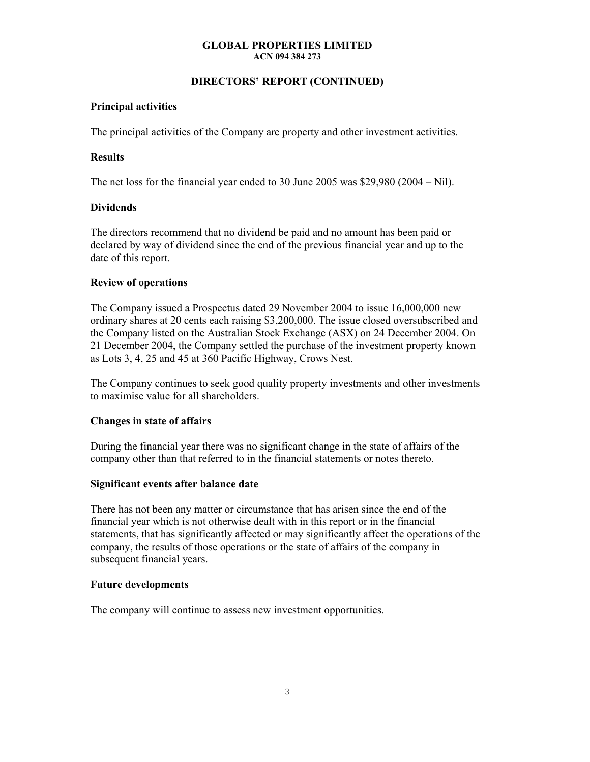## **DIRECTORS' REPORT (CONTINUED)**

## **Principal activities**

The principal activities of the Company are property and other investment activities.

## **Results**

The net loss for the financial year ended to 30 June 2005 was \$29,980 (2004 – Nil).

## **Dividends**

The directors recommend that no dividend be paid and no amount has been paid or declared by way of dividend since the end of the previous financial year and up to the date of this report.

## **Review of operations**

The Company issued a Prospectus dated 29 November 2004 to issue 16,000,000 new ordinary shares at 20 cents each raising \$3,200,000. The issue closed oversubscribed and the Company listed on the Australian Stock Exchange (ASX) on 24 December 2004. On 21 December 2004, the Company settled the purchase of the investment property known as Lots 3, 4, 25 and 45 at 360 Pacific Highway, Crows Nest.

The Company continues to seek good quality property investments and other investments to maximise value for all shareholders.

#### **Changes in state of affairs**

During the financial year there was no significant change in the state of affairs of the company other than that referred to in the financial statements or notes thereto.

#### **Significant events after balance date**

There has not been any matter or circumstance that has arisen since the end of the financial year which is not otherwise dealt with in this report or in the financial statements, that has significantly affected or may significantly affect the operations of the company, the results of those operations or the state of affairs of the company in subsequent financial years.

#### **Future developments**

The company will continue to assess new investment opportunities.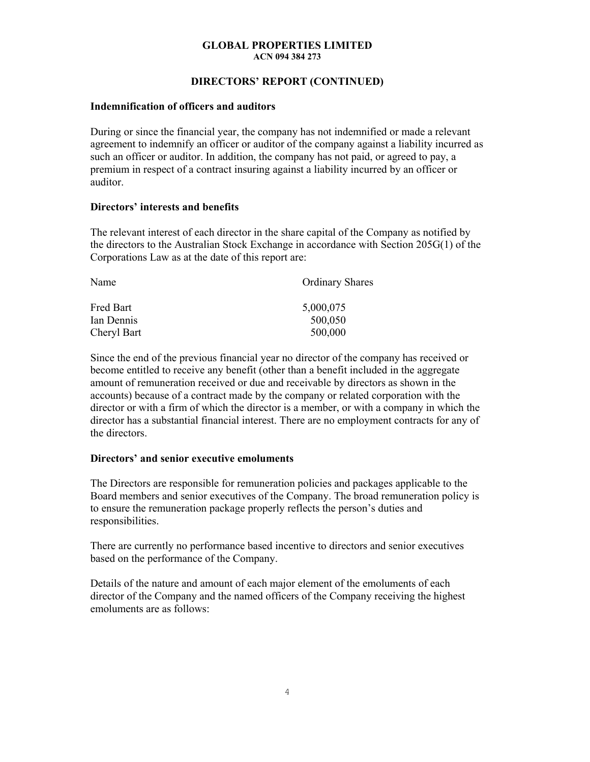## **DIRECTORS' REPORT (CONTINUED)**

### **Indemnification of officers and auditors**

During or since the financial year, the company has not indemnified or made a relevant agreement to indemnify an officer or auditor of the company against a liability incurred as such an officer or auditor. In addition, the company has not paid, or agreed to pay, a premium in respect of a contract insuring against a liability incurred by an officer or auditor.

## **Directors' interests and benefits**

The relevant interest of each director in the share capital of the Company as notified by the directors to the Australian Stock Exchange in accordance with Section 205G(1) of the Corporations Law as at the date of this report are:

| Name        | <b>Ordinary Shares</b> |
|-------------|------------------------|
| Fred Bart   | 5,000,075              |
| Ian Dennis  | 500,050                |
| Cheryl Bart | 500,000                |

Since the end of the previous financial year no director of the company has received or become entitled to receive any benefit (other than a benefit included in the aggregate amount of remuneration received or due and receivable by directors as shown in the accounts) because of a contract made by the company or related corporation with the director or with a firm of which the director is a member, or with a company in which the director has a substantial financial interest. There are no employment contracts for any of the directors.

## **Directors' and senior executive emoluments**

The Directors are responsible for remuneration policies and packages applicable to the Board members and senior executives of the Company. The broad remuneration policy is to ensure the remuneration package properly reflects the person's duties and responsibilities.

There are currently no performance based incentive to directors and senior executives based on the performance of the Company.

Details of the nature and amount of each major element of the emoluments of each director of the Company and the named officers of the Company receiving the highest emoluments are as follows: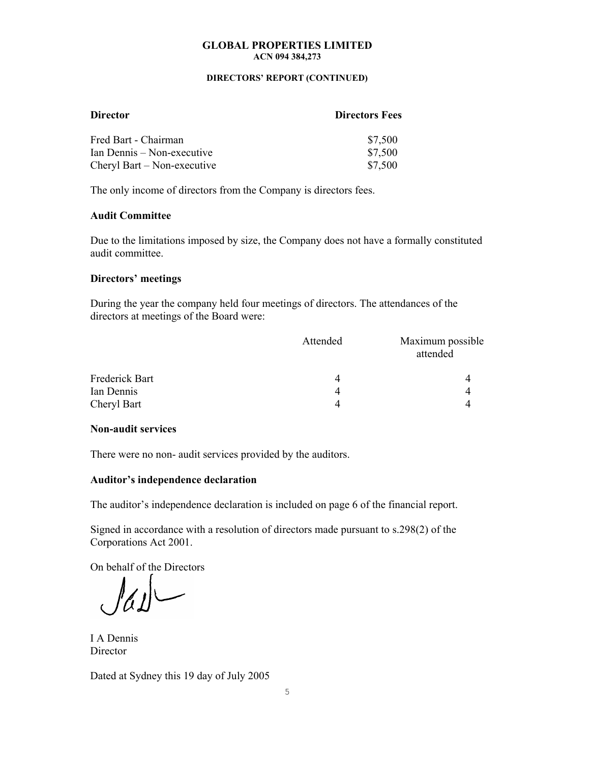#### **DIRECTORS' REPORT (CONTINUED)**

| <b>Director</b>             | <b>Directors Fees</b> |
|-----------------------------|-----------------------|
| Fred Bart - Chairman        | \$7,500               |
| Ian Dennis – Non-executive  | \$7,500               |
| Cheryl Bart – Non-executive | \$7,500               |

The only income of directors from the Company is directors fees.

### **Audit Committee**

Due to the limitations imposed by size, the Company does not have a formally constituted audit committee.

## **Directors' meetings**

During the year the company held four meetings of directors. The attendances of the directors at meetings of the Board were:

|                | Attended | Maximum possible<br>attended |
|----------------|----------|------------------------------|
| Frederick Bart | 4        |                              |
| Ian Dennis     | 4        |                              |
| Cheryl Bart    | Δ        |                              |

## **Non-audit services**

There were no non- audit services provided by the auditors.

#### **Auditor's independence declaration**

The auditor's independence declaration is included on page 6 of the financial report.

Signed in accordance with a resolution of directors made pursuant to s.298(2) of the Corporations Act 2001.

On behalf of the Directors

I A Dennis **Director** 

Dated at Sydney this 19 day of July 2005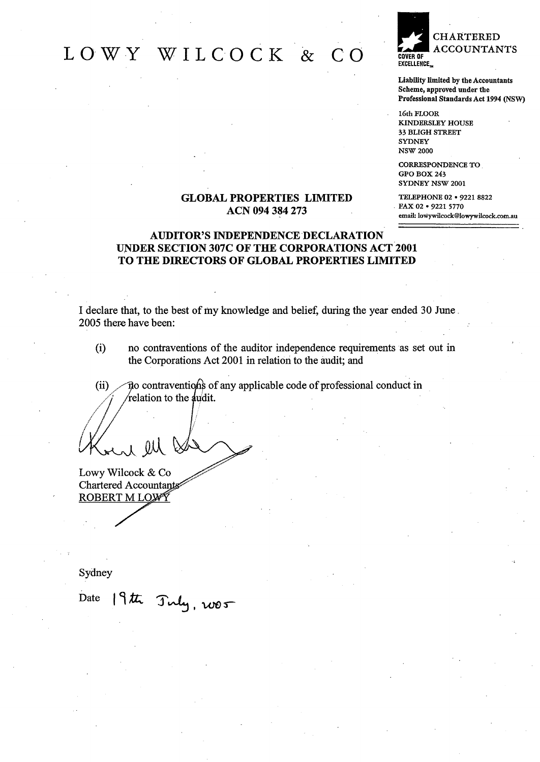## LOWY WILCOCK &  $\overline{C}$   $\overline{O}$



Liability limited by the Accountants Scheme, approved under the Professional Standards Act 1994 (NSW)

16th FLOOR **KINDERSLEY HOUSE** 33 BLIGH STREET **SYDNEY NSW 2000** 

**CORRESPONDENCE TO** GPO BOX 243 SYDNEY NSW 2001

TELEPHONE 02 . 9221 8822 FAX 02 . 9221 5770 email: lowywilcock@lowywilcock.com.au

## **GLOBAL PROPERTIES LIMITED** ACN 094 384 273

## **AUDITOR'S INDEPENDENCE DECLARATION** UNDER SECTION 307C OF THE CORPORATIONS ACT 2001 TO THE DIRECTORS OF GLOBAL PROPERTIES LIMITED

I declare that, to the best of my knowledge and belief, during the year ended 30 June. 2005 there have been:

 $(i)$ no contraventions of the auditor independence requirements as set out in the Corporations Act 2001 in relation to the audit; and

no contraventions of any applicable code of professional conduct in  $(ii)$ relation to the audit.

al lll

Lowy Wilcock & Co **Chartered Accountants** ROBERT M LOW<sup>S</sup>

Sydney

Date 19th July, 2005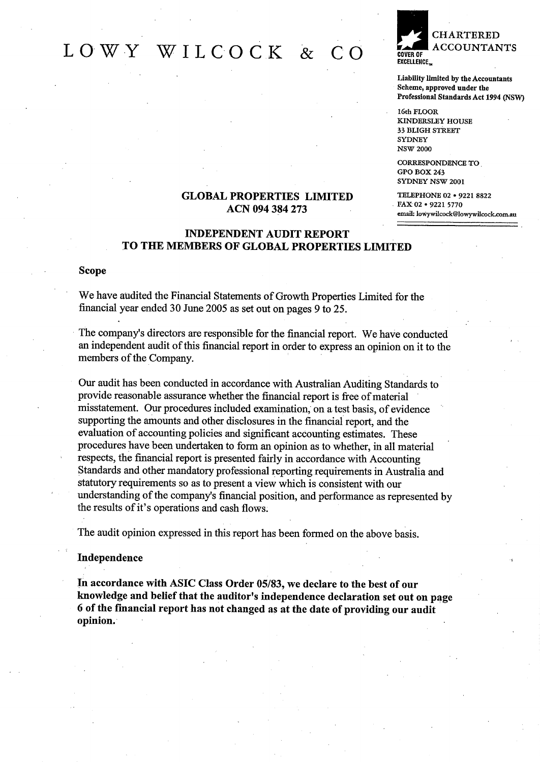## LOWY WILCOCK &  $\bigcap$



Liability limited by the Accountants Scheme, approved under the Professional Standards Act 1994 (NSW)

16th FLOOR **KINDERSLEY HOUSE 33 BLIGH STREET** SYDNEY **NSW 2000** 

CORRESPONDENCE TO GPO BOX 243 SYDNEY NSW 2001

TELEPHONE 02 . 9221 8822 FAX 02 . 9221 5770 email: lowywilcock@lowywilcock.com.au

## **GLOBAL PROPERTIES LIMITED** ACN 094 384 273

## **INDEPENDENT AUDIT REPORT** TO THE MEMBERS OF GLOBAL PROPERTIES LIMITED

#### **Scope**

We have audited the Financial Statements of Growth Properties Limited for the financial year ended 30 June 2005 as set out on pages 9 to 25.

The company's directors are responsible for the financial report. We have conducted an independent audit of this financial report in order to express an opinion on it to the members of the Company.

Our audit has been conducted in accordance with Australian Auditing Standards to provide reasonable assurance whether the financial report is free of material misstatement. Our procedures included examination, on a test basis, of evidence supporting the amounts and other disclosures in the financial report, and the evaluation of accounting policies and significant accounting estimates. These procedures have been undertaken to form an opinion as to whether, in all material respects, the financial report is presented fairly in accordance with Accounting Standards and other mandatory professional reporting requirements in Australia and statutory requirements so as to present a view which is consistent with our understanding of the company's financial position, and performance as represented by the results of it's operations and cash flows.

The audit opinion expressed in this report has been formed on the above basis.

#### Independence

In accordance with ASIC Class Order 05/83, we declare to the best of our knowledge and belief that the auditor's independence declaration set out on page 6 of the financial report has not changed as at the date of providing our audit opinion.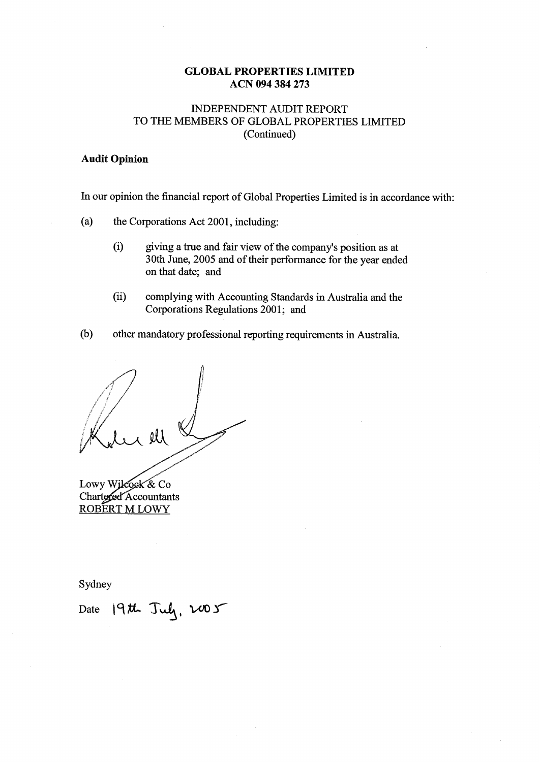## **INDEPENDENT AUDIT REPORT** TO THE MEMBERS OF GLOBAL PROPERTIES LIMITED (Continued)

## **Audit Opinion**

In our opinion the financial report of Global Properties Limited is in accordance with:

- $(a)$ the Corporations Act 2001, including:
	- $(i)$ giving a true and fair view of the company's position as at 30th June, 2005 and of their performance for the year ended on that date: and
	- $(ii)$ complying with Accounting Standards in Australia and the Corporations Regulations 2001; and
- $(b)$ other mandatory professional reporting requirements in Australia.

Lowy Wilcock & Co Chartered Accountants ROBERT M LOWY

Sydney

Date 19th July, 2005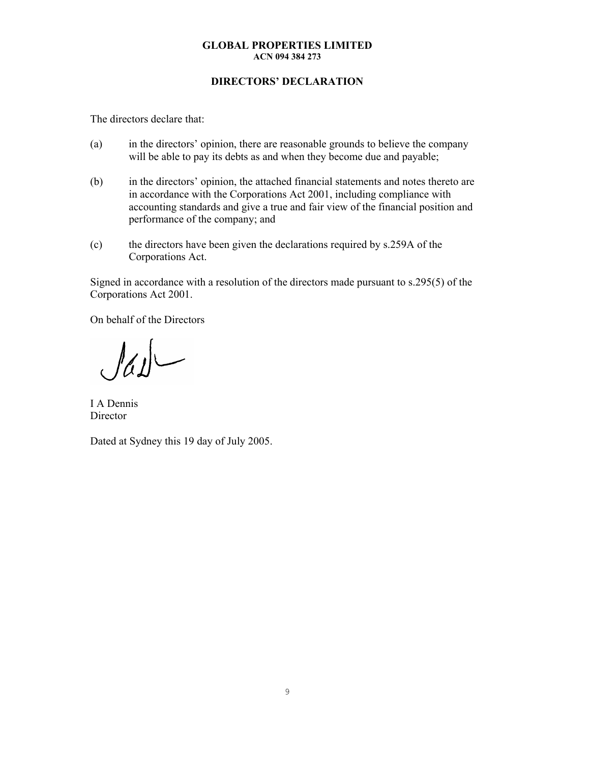## **DIRECTORS' DECLARATION**

The directors declare that:

- (a) in the directors' opinion, there are reasonable grounds to believe the company will be able to pay its debts as and when they become due and payable;
- (b) in the directors' opinion, the attached financial statements and notes thereto are in accordance with the Corporations Act 2001, including compliance with accounting standards and give a true and fair view of the financial position and performance of the company; and
- (c) the directors have been given the declarations required by s.259A of the Corporations Act.

Signed in accordance with a resolution of the directors made pursuant to s.295(5) of the Corporations Act 2001.

On behalf of the Directors

 $\int d\mu$ 

I A Dennis Director

Dated at Sydney this 19 day of July 2005.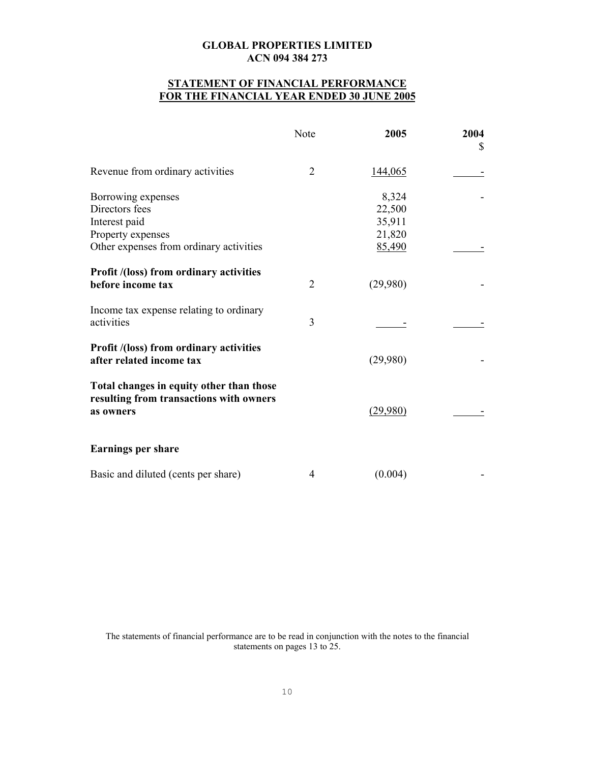## **STATEMENT OF FINANCIAL PERFORMANCE FOR THE FINANCIAL YEAR ENDED 30 JUNE 2005**

|                                                                                                                       | Note | 2005                                          | 2004<br>\$ |
|-----------------------------------------------------------------------------------------------------------------------|------|-----------------------------------------------|------------|
| Revenue from ordinary activities                                                                                      | 2    | 144,065                                       |            |
| Borrowing expenses<br>Directors fees<br>Interest paid<br>Property expenses<br>Other expenses from ordinary activities |      | 8,324<br>22,500<br>35,911<br>21,820<br>85,490 |            |
| <b>Profit /(loss) from ordinary activities</b><br>before income tax                                                   | 2    | (29,980)                                      |            |
| Income tax expense relating to ordinary<br>activities                                                                 | 3    |                                               |            |
| <b>Profit /(loss) from ordinary activities</b><br>after related income tax                                            |      | (29,980)                                      |            |
| Total changes in equity other than those<br>resulting from transactions with owners<br>as owners                      |      | (29,980)                                      |            |
| <b>Earnings per share</b>                                                                                             |      |                                               |            |
| Basic and diluted (cents per share)                                                                                   | 4    | (0.004)                                       |            |

The statements of financial performance are to be read in conjunction with the notes to the financial statements on pages 13 to 25.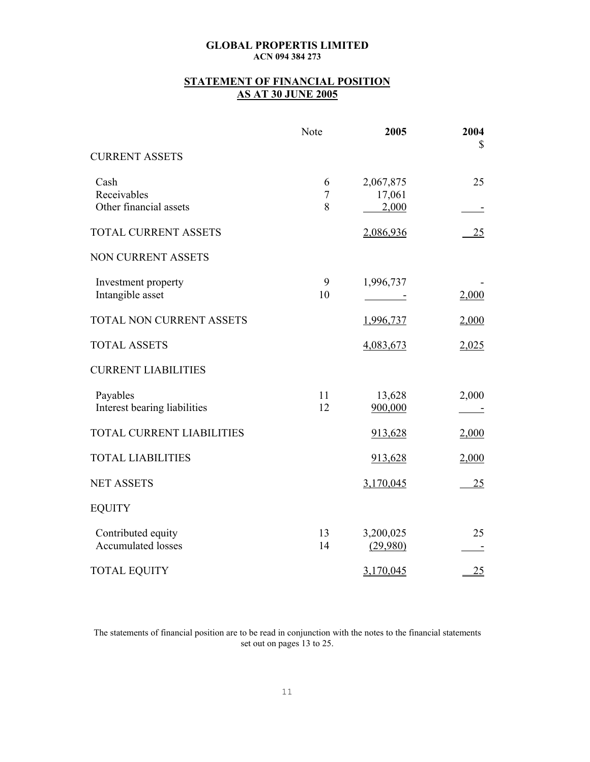## **STATEMENT OF FINANCIAL POSITION AS AT 30 JUNE 2005**

|                                                 | Note                       | 2005                                  | 2004<br>\$ |
|-------------------------------------------------|----------------------------|---------------------------------------|------------|
| <b>CURRENT ASSETS</b>                           |                            |                                       |            |
| Cash<br>Receivables<br>Other financial assets   | 6<br>$\boldsymbol{7}$<br>8 | 2,067,875<br>17,061<br>2,000          | 25         |
| <b>TOTAL CURRENT ASSETS</b>                     |                            | 2,086,936                             | 25         |
| NON CURRENT ASSETS                              |                            |                                       |            |
| Investment property<br>Intangible asset         | 9<br>10                    | 1,996,737<br><b>Contract Contract</b> | 2,000      |
| TOTAL NON CURRENT ASSETS                        |                            | 1,996,737                             | 2,000      |
| <b>TOTAL ASSETS</b>                             |                            | 4,083,673                             | 2,025      |
| <b>CURRENT LIABILITIES</b>                      |                            |                                       |            |
| Payables<br>Interest bearing liabilities        | 11<br>12                   | 13,628<br>900,000                     | 2,000      |
| <b>TOTAL CURRENT LIABILITIES</b>                |                            | 913,628                               | 2,000      |
| <b>TOTAL LIABILITIES</b>                        |                            | 913,628                               | 2,000      |
| <b>NET ASSETS</b>                               |                            | 3,170,045                             | 25         |
| <b>EQUITY</b>                                   |                            |                                       |            |
| Contributed equity<br><b>Accumulated losses</b> | 13<br>14                   | 3,200,025<br>(29,980)                 | 25         |
| <b>TOTAL EQUITY</b>                             |                            | 3,170,045                             | 25         |

The statements of financial position are to be read in conjunction with the notes to the financial statements set out on pages 13 to 25.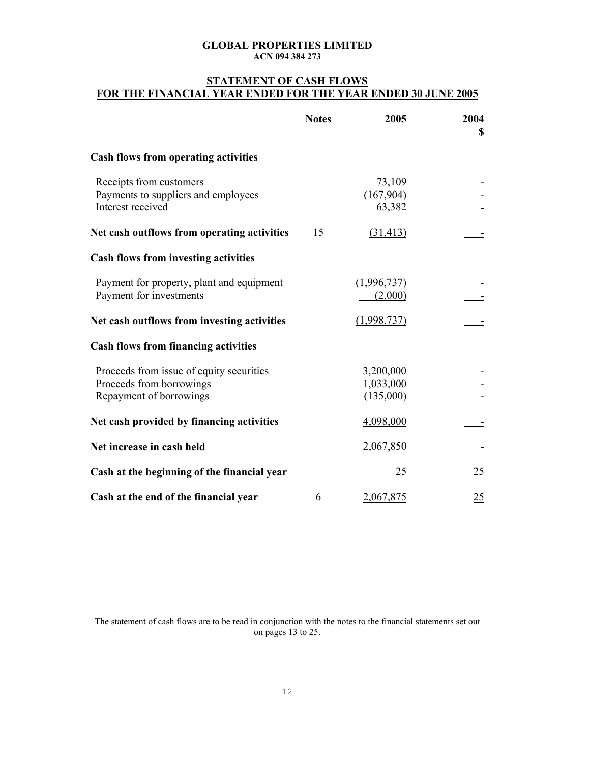## **STATEMENT OF CASH FLOWS FOR THE FINANCIAL YEAR ENDED FOR THE YEAR ENDED 30 JUNE 2005**

|                                                                                                 | <b>Notes</b> | 2005                                | 2004<br>\$       |
|-------------------------------------------------------------------------------------------------|--------------|-------------------------------------|------------------|
| <b>Cash flows from operating activities</b>                                                     |              |                                     |                  |
| Receipts from customers<br>Payments to suppliers and employees<br>Interest received             |              | 73,109<br>(167,904)<br>63,382       |                  |
| Net cash outflows from operating activities                                                     | 15           | (31, 413)                           |                  |
| <b>Cash flows from investing activities</b>                                                     |              |                                     |                  |
| Payment for property, plant and equipment<br>Payment for investments                            |              | (1,996,737)<br>(2,000)              |                  |
| Net cash outflows from investing activities                                                     |              | (1,998,737)                         |                  |
| <b>Cash flows from financing activities</b>                                                     |              |                                     |                  |
| Proceeds from issue of equity securities<br>Proceeds from borrowings<br>Repayment of borrowings |              | 3,200,000<br>1,033,000<br>(135,000) |                  |
| Net cash provided by financing activities                                                       |              | 4,098,000                           |                  |
| Net increase in cash held                                                                       |              | 2,067,850                           |                  |
| Cash at the beginning of the financial year                                                     |              | 25                                  | 25               |
| Cash at the end of the financial year                                                           | 6            | 2,067,875                           | $\underline{25}$ |

The statement of cash flows are to be read in conjunction with the notes to the financial statements set out on pages 13 to 25.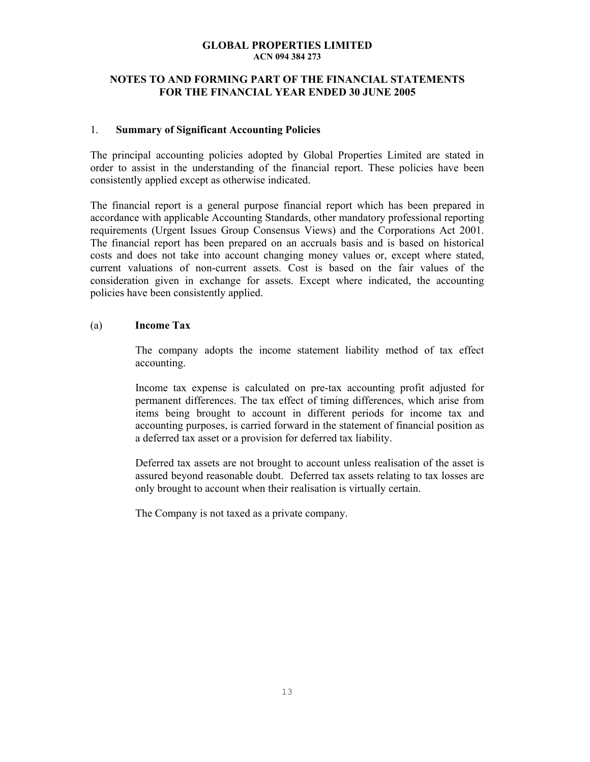## **NOTES TO AND FORMING PART OF THE FINANCIAL STATEMENTS FOR THE FINANCIAL YEAR ENDED 30 JUNE 2005**

### 1. **Summary of Significant Accounting Policies**

The principal accounting policies adopted by Global Properties Limited are stated in order to assist in the understanding of the financial report. These policies have been consistently applied except as otherwise indicated.

The financial report is a general purpose financial report which has been prepared in accordance with applicable Accounting Standards, other mandatory professional reporting requirements (Urgent Issues Group Consensus Views) and the Corporations Act 2001. The financial report has been prepared on an accruals basis and is based on historical costs and does not take into account changing money values or, except where stated, current valuations of non-current assets. Cost is based on the fair values of the consideration given in exchange for assets. Except where indicated, the accounting policies have been consistently applied.

## (a) **Income Tax**

The company adopts the income statement liability method of tax effect accounting.

Income tax expense is calculated on pre-tax accounting profit adjusted for permanent differences. The tax effect of timing differences, which arise from items being brought to account in different periods for income tax and accounting purposes, is carried forward in the statement of financial position as a deferred tax asset or a provision for deferred tax liability.

Deferred tax assets are not brought to account unless realisation of the asset is assured beyond reasonable doubt. Deferred tax assets relating to tax losses are only brought to account when their realisation is virtually certain.

The Company is not taxed as a private company.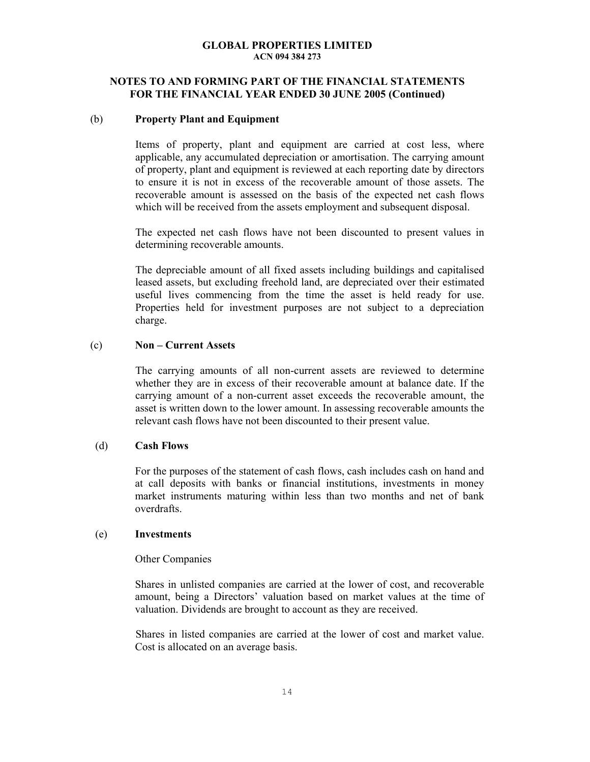## **NOTES TO AND FORMING PART OF THE FINANCIAL STATEMENTS FOR THE FINANCIAL YEAR ENDED 30 JUNE 2005 (Continued)**

### (b) **Property Plant and Equipment**

Items of property, plant and equipment are carried at cost less, where applicable, any accumulated depreciation or amortisation. The carrying amount of property, plant and equipment is reviewed at each reporting date by directors to ensure it is not in excess of the recoverable amount of those assets. The recoverable amount is assessed on the basis of the expected net cash flows which will be received from the assets employment and subsequent disposal.

The expected net cash flows have not been discounted to present values in determining recoverable amounts.

The depreciable amount of all fixed assets including buildings and capitalised leased assets, but excluding freehold land, are depreciated over their estimated useful lives commencing from the time the asset is held ready for use. Properties held for investment purposes are not subject to a depreciation charge.

### (c) **Non – Current Assets**

The carrying amounts of all non-current assets are reviewed to determine whether they are in excess of their recoverable amount at balance date. If the carrying amount of a non-current asset exceeds the recoverable amount, the asset is written down to the lower amount. In assessing recoverable amounts the relevant cash flows have not been discounted to their present value.

## (d) **Cash Flows**

 For the purposes of the statement of cash flows, cash includes cash on hand and at call deposits with banks or financial institutions, investments in money market instruments maturing within less than two months and net of bank overdrafts.

## (e) **Investments**

#### Other Companies

 Shares in unlisted companies are carried at the lower of cost, and recoverable amount, being a Directors' valuation based on market values at the time of valuation. Dividends are brought to account as they are received.

Shares in listed companies are carried at the lower of cost and market value. Cost is allocated on an average basis.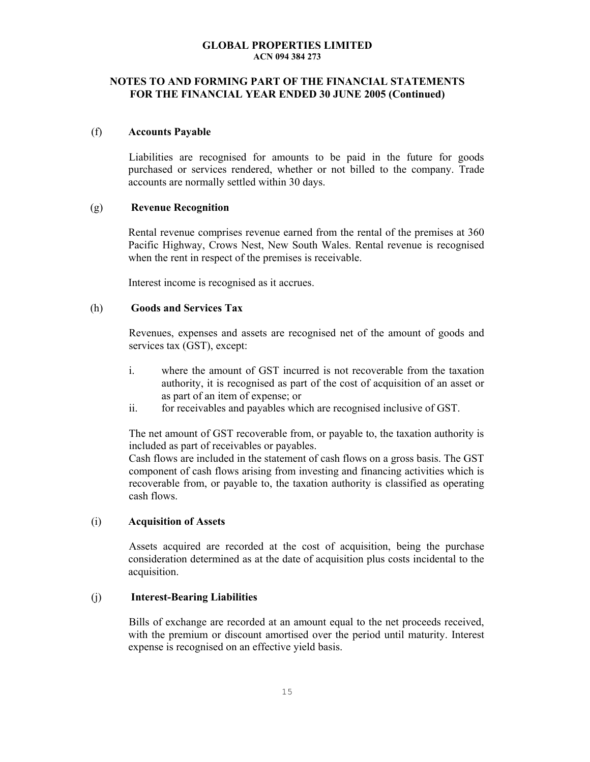## **NOTES TO AND FORMING PART OF THE FINANCIAL STATEMENTS FOR THE FINANCIAL YEAR ENDED 30 JUNE 2005 (Continued)**

#### (f) **Accounts Payable**

Liabilities are recognised for amounts to be paid in the future for goods purchased or services rendered, whether or not billed to the company. Trade accounts are normally settled within 30 days.

#### (g) **Revenue Recognition**

 Rental revenue comprises revenue earned from the rental of the premises at 360 Pacific Highway, Crows Nest, New South Wales. Rental revenue is recognised when the rent in respect of the premises is receivable.

Interest income is recognised as it accrues.

## (h) **Goods and Services Tax**

Revenues, expenses and assets are recognised net of the amount of goods and services tax (GST), except:

- i. where the amount of GST incurred is not recoverable from the taxation authority, it is recognised as part of the cost of acquisition of an asset or as part of an item of expense; or
- ii. for receivables and payables which are recognised inclusive of GST.

The net amount of GST recoverable from, or payable to, the taxation authority is included as part of receivables or payables.

Cash flows are included in the statement of cash flows on a gross basis. The GST component of cash flows arising from investing and financing activities which is recoverable from, or payable to, the taxation authority is classified as operating cash flows.

#### (i) **Acquisition of Assets**

Assets acquired are recorded at the cost of acquisition, being the purchase consideration determined as at the date of acquisition plus costs incidental to the acquisition.

## (j) **Interest-Bearing Liabilities**

Bills of exchange are recorded at an amount equal to the net proceeds received, with the premium or discount amortised over the period until maturity. Interest expense is recognised on an effective yield basis.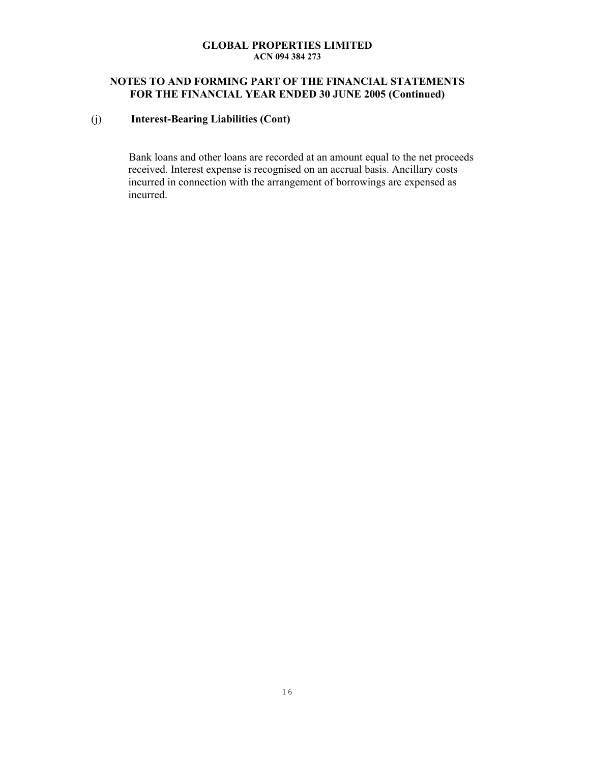## **NOTES TO AND FORMING PART OF THE FINANCIAL STATEMENTS FOR THE FINANCIAL YEAR ENDED 30 JUNE 2005 (Continued)**

## (j) **Interest-Bearing Liabilities (Cont)**

Bank loans and other loans are recorded at an amount equal to the net proceeds received. Interest expense is recognised on an accrual basis. Ancillary costs incurred in connection with the arrangement of borrowings are expensed as incurred.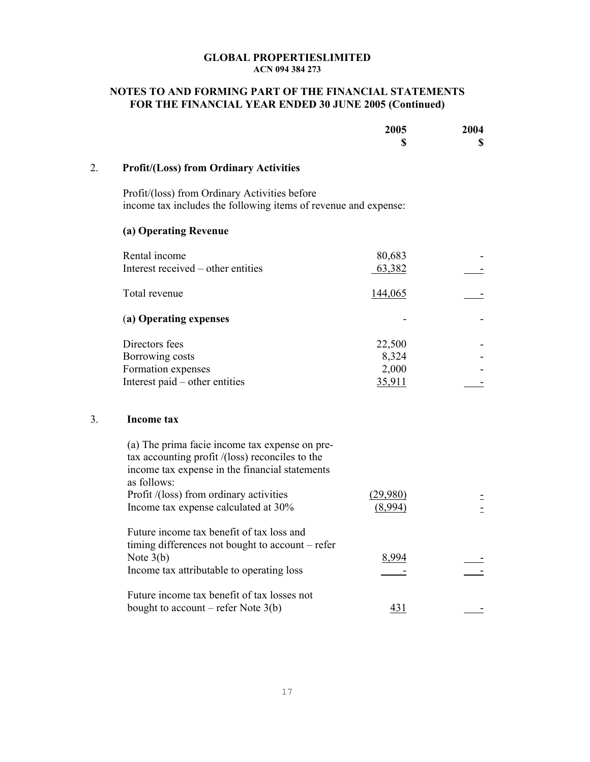## **NOTES TO AND FORMING PART OF THE FINANCIAL STATEMENTS FOR THE FINANCIAL YEAR ENDED 30 JUNE 2005 (Continued)**

|    |                                                                                                                                                                    | 2005<br>\$          | 2004<br>\$ |
|----|--------------------------------------------------------------------------------------------------------------------------------------------------------------------|---------------------|------------|
| 2. | <b>Profit/(Loss) from Ordinary Activities</b>                                                                                                                      |                     |            |
|    | Profit/(loss) from Ordinary Activities before<br>income tax includes the following items of revenue and expense:                                                   |                     |            |
|    | (a) Operating Revenue                                                                                                                                              |                     |            |
|    | Rental income                                                                                                                                                      | 80,683              |            |
|    | Interest received – other entities                                                                                                                                 | 63,382              |            |
|    | Total revenue                                                                                                                                                      | 144,065             |            |
|    | (a) Operating expenses                                                                                                                                             |                     |            |
|    | Directors fees                                                                                                                                                     | 22,500              |            |
|    | Borrowing costs                                                                                                                                                    | 8,324               |            |
|    | Formation expenses                                                                                                                                                 | 2,000               |            |
|    | Interest paid – other entities                                                                                                                                     | 35,911              |            |
| 3. | <b>Income tax</b>                                                                                                                                                  |                     |            |
|    | (a) The prima facie income tax expense on pre-<br>tax accounting profit /(loss) reconciles to the<br>income tax expense in the financial statements<br>as follows: |                     |            |
|    | Profit /(loss) from ordinary activities<br>Income tax expense calculated at 30%                                                                                    | (29,980)<br>(8,994) |            |
|    | Future income tax benefit of tax loss and<br>timing differences not bought to account – refer<br>Note $3(b)$<br>Income tax attributable to operating loss          | 8,994               |            |
|    | Future income tax benefit of tax losses not<br>bought to account – refer Note $3(b)$                                                                               | 431                 |            |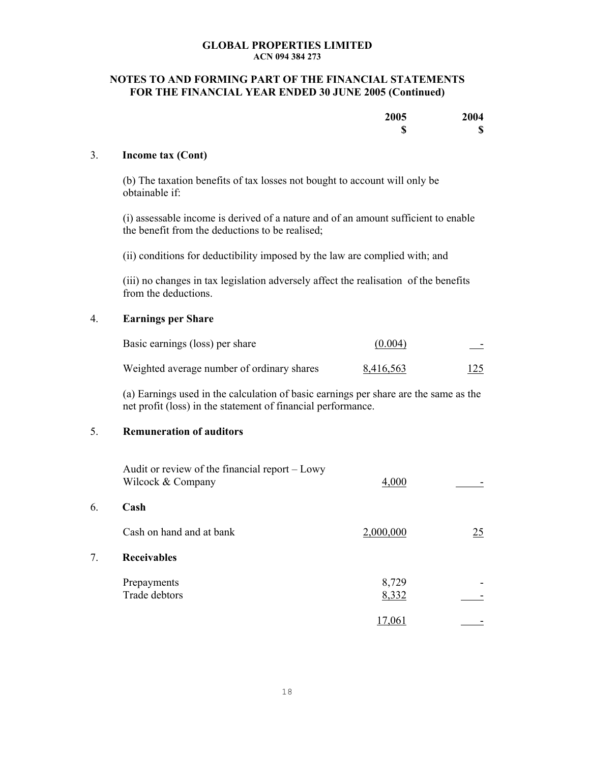## **NOTES TO AND FORMING PART OF THE FINANCIAL STATEMENTS FOR THE FINANCIAL YEAR ENDED 30 JUNE 2005 (Continued)**

| 2005    | 2004        |
|---------|-------------|
| ጣ<br>۱D | $\mathbf S$ |

### 3. **Income tax (Cont)**

(b) The taxation benefits of tax losses not bought to account will only be obtainable if:

(i) assessable income is derived of a nature and of an amount sufficient to enable the benefit from the deductions to be realised;

(ii) conditions for deductibility imposed by the law are complied with; and

(iii) no changes in tax legislation adversely affect the realisation of the benefits from the deductions.

## 4. **Earnings per Share**

| Basic earnings (loss) per share            | (0.004)   |  |
|--------------------------------------------|-----------|--|
| Weighted average number of ordinary shares | 8,416,563 |  |

(a) Earnings used in the calculation of basic earnings per share are the same as the net profit (loss) in the statement of financial performance.

## 5. **Remuneration of auditors**

|    | Audit or review of the financial report – Lowy<br>Wilcock & Company | 4,000          |    |
|----|---------------------------------------------------------------------|----------------|----|
| 6. | Cash                                                                |                |    |
|    | Cash on hand and at bank                                            | 2,000,000      | 25 |
| 7. | <b>Receivables</b>                                                  |                |    |
|    | Prepayments<br>Trade debtors                                        | 8,729<br>8,332 |    |
|    |                                                                     | 17,061         |    |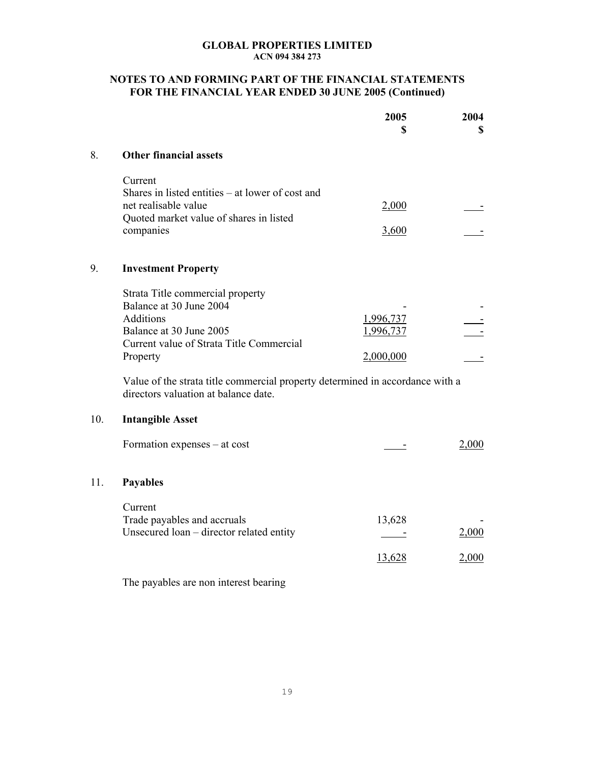## **NOTES TO AND FORMING PART OF THE FINANCIAL STATEMENTS FOR THE FINANCIAL YEAR ENDED 30 JUNE 2005 (Continued)**

|     |                                                                                                                                                                                                                                                                                                                                                        | 2005<br>\$                          | 2004<br>S      |
|-----|--------------------------------------------------------------------------------------------------------------------------------------------------------------------------------------------------------------------------------------------------------------------------------------------------------------------------------------------------------|-------------------------------------|----------------|
| 8.  | <b>Other financial assets</b>                                                                                                                                                                                                                                                                                                                          |                                     |                |
|     | Current<br>Shares in listed entities – at lower of cost and<br>net realisable value<br>Quoted market value of shares in listed<br>companies                                                                                                                                                                                                            | 2,000<br>3,600                      |                |
| 9.  | <b>Investment Property</b>                                                                                                                                                                                                                                                                                                                             |                                     |                |
| 10. | Strata Title commercial property<br>Balance at 30 June 2004<br><b>Additions</b><br>Balance at 30 June 2005<br>Current value of Strata Title Commercial<br>Property<br>Value of the strata title commercial property determined in accordance with a<br>directors valuation at balance date.<br><b>Intangible Asset</b><br>Formation expenses – at cost | 1,996,737<br>1,996,737<br>2,000,000 | 2,000          |
|     |                                                                                                                                                                                                                                                                                                                                                        |                                     |                |
| 11. | <b>Payables</b>                                                                                                                                                                                                                                                                                                                                        |                                     |                |
|     | Current<br>Trade payables and accruals<br>Unsecured loan - director related entity                                                                                                                                                                                                                                                                     | 13,628<br>13,628                    | 2,000<br>2,000 |
|     | The payables are non interest bearing                                                                                                                                                                                                                                                                                                                  |                                     |                |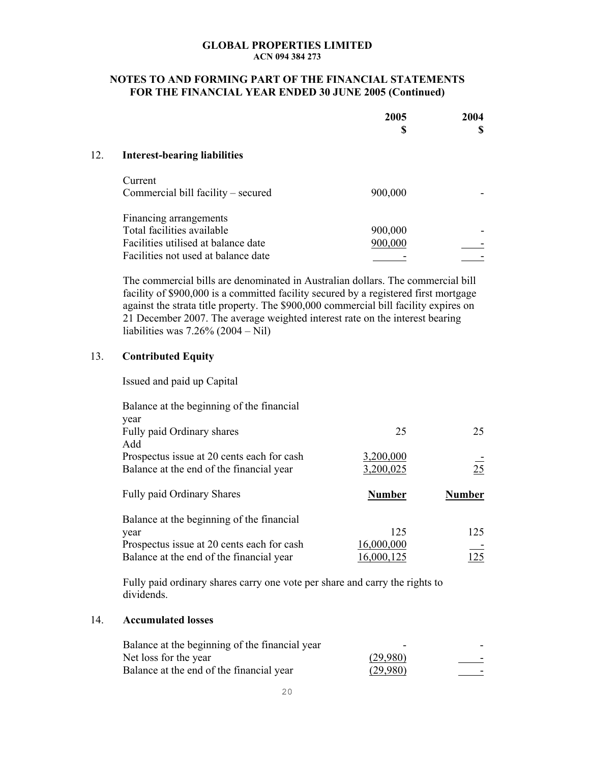## **NOTES TO AND FORMING PART OF THE FINANCIAL STATEMENTS FOR THE FINANCIAL YEAR ENDED 30 JUNE 2005 (Continued)**

|     |                                     | 2005<br>\$ | 2004 |
|-----|-------------------------------------|------------|------|
| 12. | <b>Interest-bearing liabilities</b> |            |      |
|     | Current                             |            |      |
|     | Commercial bill facility – secured  | 900,000    |      |
|     | Financing arrangements              |            |      |
|     | Total facilities available          | 900,000    |      |
|     | Facilities utilised at balance date | 900,000    |      |
|     | Facilities not used at balance date |            |      |

The commercial bills are denominated in Australian dollars. The commercial bill facility of \$900,000 is a committed facility secured by a registered first mortgage against the strata title property. The \$900,000 commercial bill facility expires on 21 December 2007. The average weighted interest rate on the interest bearing liabilities was 7.26% (2004 – Nil)

## 13. **Contributed Equity**

Issued and paid up Capital

| Balance at the beginning of the financial         |               |               |
|---------------------------------------------------|---------------|---------------|
| year                                              |               |               |
| Fully paid Ordinary shares                        | 25            | 25            |
| Add                                               |               |               |
| Prospectus issue at 20 cents each for cash        | 3,200,000     |               |
| Balance at the end of the financial year          | 3,200,025     | 25            |
|                                                   |               |               |
| <b>Fully paid Ordinary Shares</b>                 | <b>Number</b> | <b>Number</b> |
|                                                   |               |               |
| Balance at the beginning of the financial<br>year | 125           | 125           |
| Prospectus issue at 20 cents each for cash        | 16,000,000    |               |

Fully paid ordinary shares carry one vote per share and carry the rights to dividends.

## 14. **Accumulated losses**

| Balance at the beginning of the financial year | -        | - |
|------------------------------------------------|----------|---|
| Net loss for the year                          | (29,980) | - |
| Balance at the end of the financial year       | (29,980) | - |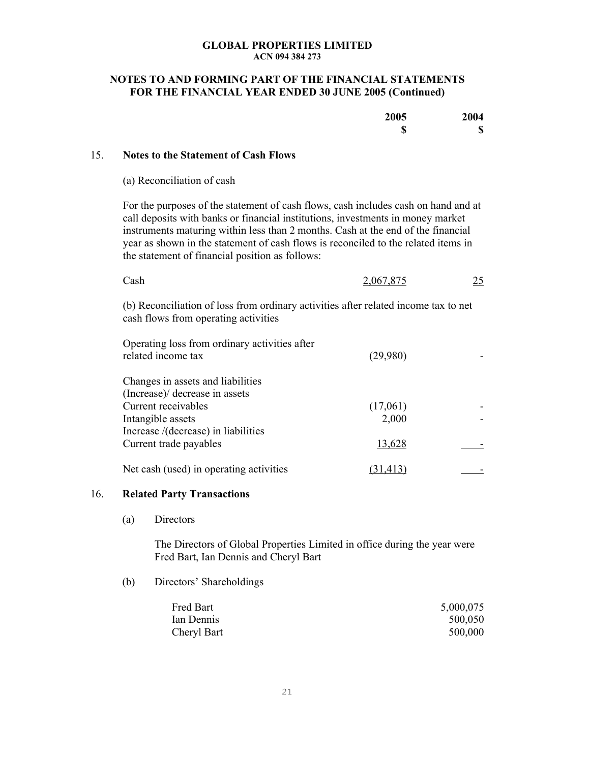## **NOTES TO AND FORMING PART OF THE FINANCIAL STATEMENTS FOR THE FINANCIAL YEAR ENDED 30 JUNE 2005 (Continued)**

| 2005    | 2004                      |
|---------|---------------------------|
| ⋒<br>۱D | $\boldsymbol{\mathsf{S}}$ |

### 15. **Notes to the Statement of Cash Flows**

(a) Reconciliation of cash

For the purposes of the statement of cash flows, cash includes cash on hand and at call deposits with banks or financial institutions, investments in money market instruments maturing within less than 2 months. Cash at the end of the financial year as shown in the statement of cash flows is reconciled to the related items in the statement of financial position as follows:

| ∵ash | 2,067,875 | 25 |
|------|-----------|----|
|      |           |    |

(b) Reconciliation of loss from ordinary activities after related income tax to net cash flows from operating activities

| Operating loss from ordinary activities after<br>related income tax | (29,980)  |  |
|---------------------------------------------------------------------|-----------|--|
| Changes in assets and liabilities                                   |           |  |
| (Increase)/ decrease in assets                                      |           |  |
| Current receivables                                                 | (17,061)  |  |
| Intangible assets                                                   | 2,000     |  |
| Increase /(decrease) in liabilities                                 |           |  |
| Current trade payables                                              | 13,628    |  |
| Net cash (used) in operating activities                             | (31, 413) |  |

#### 16. **Related Party Transactions**

(a) Directors

The Directors of Global Properties Limited in office during the year were Fred Bart, Ian Dennis and Cheryl Bart

#### (b) Directors' Shareholdings

| Fred Bart   | 5,000,075 |
|-------------|-----------|
| Ian Dennis  | 500,050   |
| Cheryl Bart | 500,000   |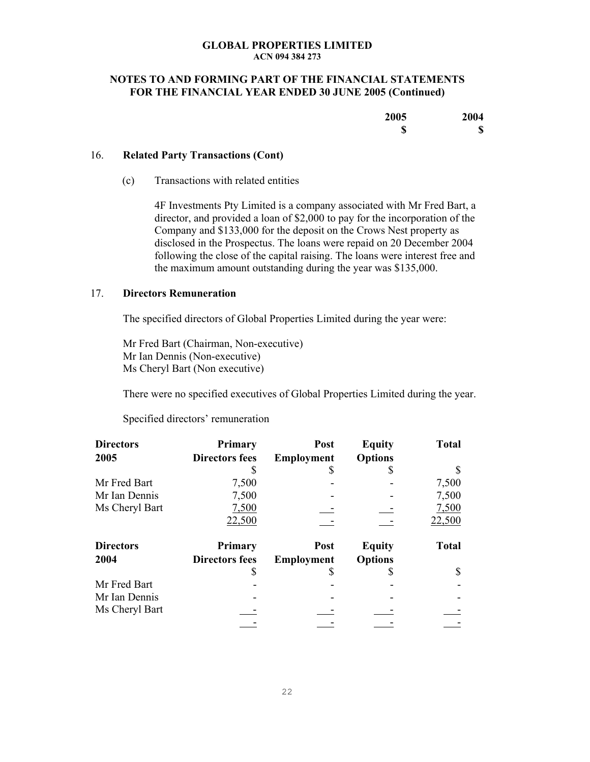## **NOTES TO AND FORMING PART OF THE FINANCIAL STATEMENTS FOR THE FINANCIAL YEAR ENDED 30 JUNE 2005 (Continued)**

| 2005 | 2004   |
|------|--------|
| w    | 4<br>J |

## 16. **Related Party Transactions (Cont)**

(c) Transactions with related entities

4F Investments Pty Limited is a company associated with Mr Fred Bart, a director, and provided a loan of \$2,000 to pay for the incorporation of the Company and \$133,000 for the deposit on the Crows Nest property as disclosed in the Prospectus. The loans were repaid on 20 December 2004 following the close of the capital raising. The loans were interest free and the maximum amount outstanding during the year was \$135,000.

## 17. **Directors Remuneration**

The specified directors of Global Properties Limited during the year were:

Mr Fred Bart (Chairman, Non-executive) Mr Ian Dennis (Non-executive) Ms Cheryl Bart (Non executive)

There were no specified executives of Global Properties Limited during the year.

Specified directors' remuneration

| <b>Directors</b> | Primary               | Post              | <b>Equity</b>  | <b>Total</b> |
|------------------|-----------------------|-------------------|----------------|--------------|
| 2005             | <b>Directors fees</b> | Employment        | <b>Options</b> |              |
|                  |                       |                   |                |              |
| Mr Fred Bart     | 7,500                 |                   |                | 7,500        |
| Mr Ian Dennis    | 7,500                 |                   |                | 7,500        |
| Ms Cheryl Bart   | 7,500                 |                   |                | 7,500        |
|                  | 22,500                |                   |                | 22,500       |
| <b>Directors</b> | <b>Primary</b>        | Post              | <b>Equity</b>  | <b>Total</b> |
| 2004             | <b>Directors fees</b> | <b>Employment</b> | <b>Options</b> |              |
|                  |                       |                   |                |              |
| Mr Fred Bart     |                       |                   |                |              |
| Mr Ian Dennis    |                       |                   |                |              |
| Ms Cheryl Bart   |                       |                   |                |              |
|                  |                       |                   |                |              |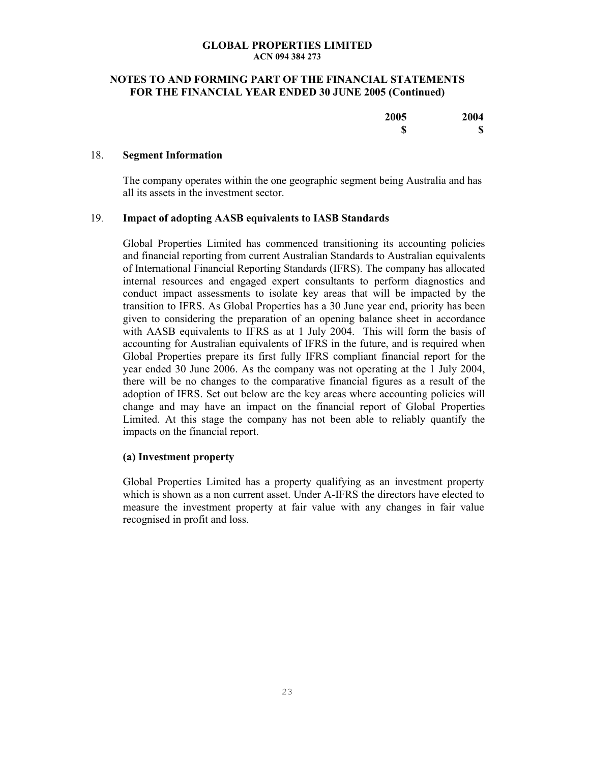## **NOTES TO AND FORMING PART OF THE FINANCIAL STATEMENTS FOR THE FINANCIAL YEAR ENDED 30 JUNE 2005 (Continued)**

| 2005    | 2004        |
|---------|-------------|
| œ<br>۱D | $\mathbf S$ |

### 18. **Segment Information**

The company operates within the one geographic segment being Australia and has all its assets in the investment sector.

## 19. **Impact of adopting AASB equivalents to IASB Standards**

Global Properties Limited has commenced transitioning its accounting policies and financial reporting from current Australian Standards to Australian equivalents of International Financial Reporting Standards (IFRS). The company has allocated internal resources and engaged expert consultants to perform diagnostics and conduct impact assessments to isolate key areas that will be impacted by the transition to IFRS. As Global Properties has a 30 June year end, priority has been given to considering the preparation of an opening balance sheet in accordance with AASB equivalents to IFRS as at 1 July 2004. This will form the basis of accounting for Australian equivalents of IFRS in the future, and is required when Global Properties prepare its first fully IFRS compliant financial report for the year ended 30 June 2006. As the company was not operating at the 1 July 2004, there will be no changes to the comparative financial figures as a result of the adoption of IFRS. Set out below are the key areas where accounting policies will change and may have an impact on the financial report of Global Properties Limited. At this stage the company has not been able to reliably quantify the impacts on the financial report.

#### **(a) Investment property**

Global Properties Limited has a property qualifying as an investment property which is shown as a non current asset. Under A-IFRS the directors have elected to measure the investment property at fair value with any changes in fair value recognised in profit and loss.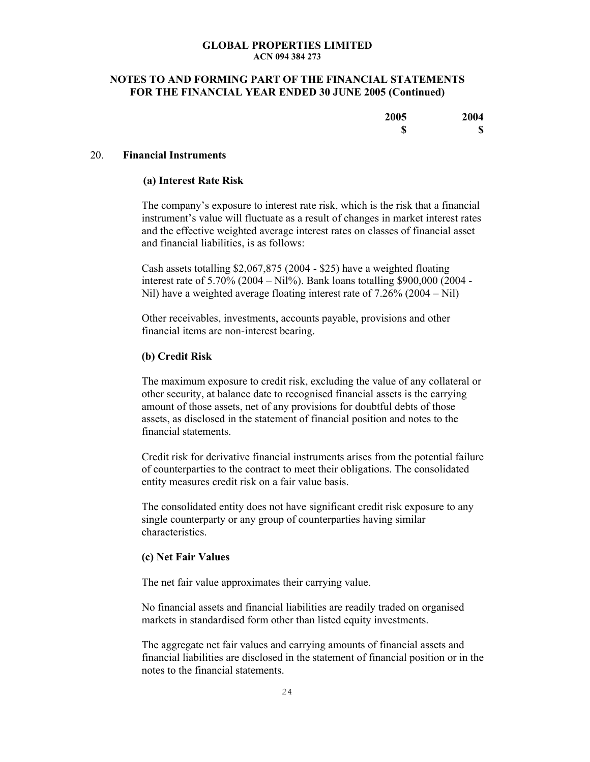## **NOTES TO AND FORMING PART OF THE FINANCIAL STATEMENTS FOR THE FINANCIAL YEAR ENDED 30 JUNE 2005 (Continued)**

| 2005 | 2004 |
|------|------|
| ጣ    | 4    |
| ۱D   | D    |

### 20. **Financial Instruments**

#### **(a) Interest Rate Risk**

The company's exposure to interest rate risk, which is the risk that a financial instrument's value will fluctuate as a result of changes in market interest rates and the effective weighted average interest rates on classes of financial asset and financial liabilities, is as follows:

Cash assets totalling \$2,067,875 (2004 - \$25) have a weighted floating interest rate of  $5.70\%$  (2004 – Nil%). Bank loans totalling \$900,000 (2004 -Nil) have a weighted average floating interest rate of 7.26% (2004 – Nil)

Other receivables, investments, accounts payable, provisions and other financial items are non-interest bearing.

#### **(b) Credit Risk**

The maximum exposure to credit risk, excluding the value of any collateral or other security, at balance date to recognised financial assets is the carrying amount of those assets, net of any provisions for doubtful debts of those assets, as disclosed in the statement of financial position and notes to the financial statements.

Credit risk for derivative financial instruments arises from the potential failure of counterparties to the contract to meet their obligations. The consolidated entity measures credit risk on a fair value basis.

The consolidated entity does not have significant credit risk exposure to any single counterparty or any group of counterparties having similar characteristics.

#### **(c) Net Fair Values**

The net fair value approximates their carrying value.

No financial assets and financial liabilities are readily traded on organised markets in standardised form other than listed equity investments.

The aggregate net fair values and carrying amounts of financial assets and financial liabilities are disclosed in the statement of financial position or in the notes to the financial statements.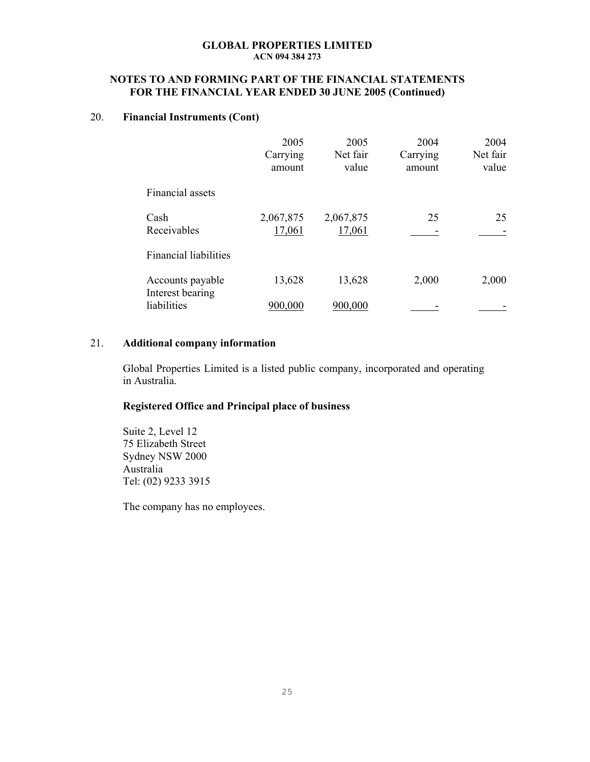## **NOTES TO AND FORMING PART OF THE FINANCIAL STATEMENTS FOR THE FINANCIAL YEAR ENDED 30 JUNE 2005 (Continued)**

## 20. **Financial Instruments (Cont)**

|                                      | 2005<br>Carrying<br>amount | 2005<br>Net fair<br>value | 2004<br>Carrying<br>amount | 2004<br>Net fair<br>value |
|--------------------------------------|----------------------------|---------------------------|----------------------------|---------------------------|
| Financial assets                     |                            |                           |                            |                           |
| Cash<br>Receivables                  | 2,067,875<br>17,061        | 2,067,875<br>17,061       | 25                         | 25                        |
| <b>Financial liabilities</b>         |                            |                           |                            |                           |
| Accounts payable<br>Interest bearing | 13,628                     | 13,628                    | 2,000                      | 2,000                     |
| liabilities                          | 900,000                    | 900,000                   |                            |                           |

## 21. **Additional company information**

Global Properties Limited is a listed public company, incorporated and operating in Australia.

## **Registered Office and Principal place of business**

Suite 2, Level 12 75 Elizabeth Street Sydney NSW 2000 Australia Tel: (02) 9233 3915

The company has no employees.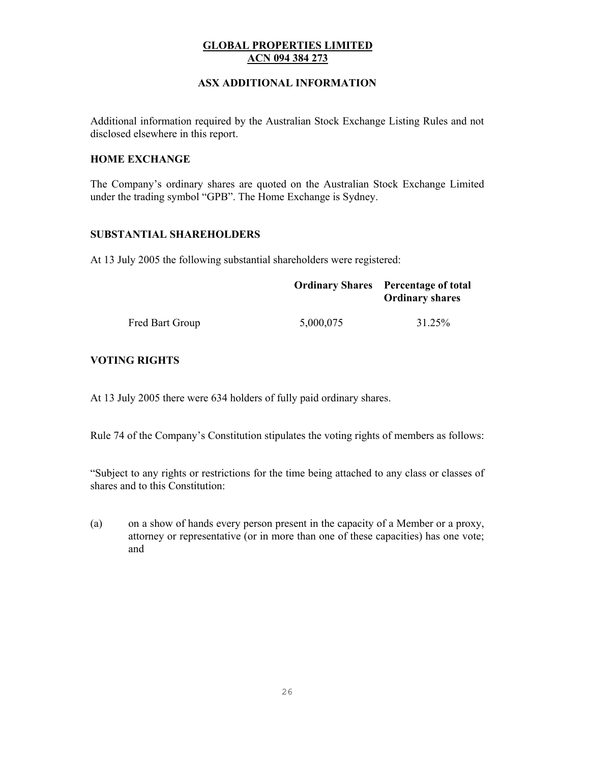## **ASX ADDITIONAL INFORMATION**

Additional information required by the Australian Stock Exchange Listing Rules and not disclosed elsewhere in this report.

## **HOME EXCHANGE**

The Company's ordinary shares are quoted on the Australian Stock Exchange Limited under the trading symbol "GPB". The Home Exchange is Sydney.

## **SUBSTANTIAL SHAREHOLDERS**

At 13 July 2005 the following substantial shareholders were registered:

|                 |           | <b>Ordinary Shares</b> Percentage of total<br><b>Ordinary shares</b> |
|-----------------|-----------|----------------------------------------------------------------------|
| Fred Bart Group | 5,000,075 | 31.25%                                                               |

## **VOTING RIGHTS**

At 13 July 2005 there were 634 holders of fully paid ordinary shares.

Rule 74 of the Company's Constitution stipulates the voting rights of members as follows:

"Subject to any rights or restrictions for the time being attached to any class or classes of shares and to this Constitution:

(a) on a show of hands every person present in the capacity of a Member or a proxy, attorney or representative (or in more than one of these capacities) has one vote; and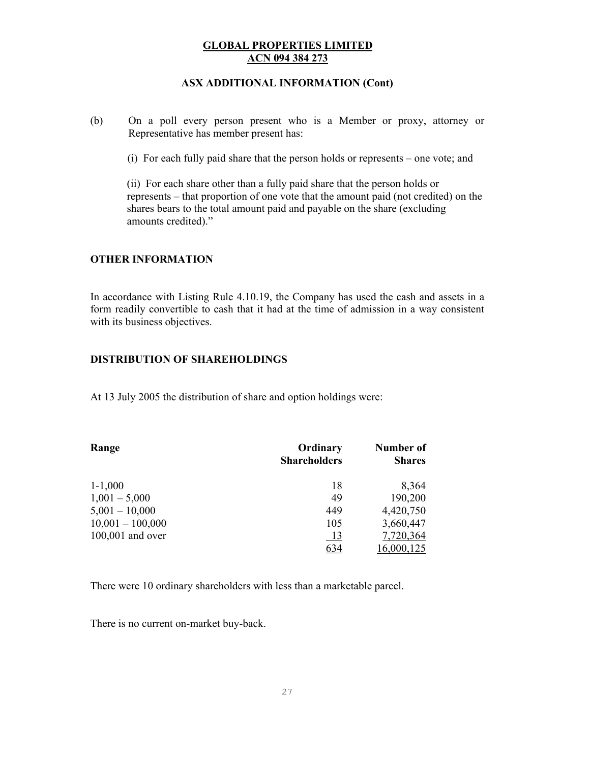## **ASX ADDITIONAL INFORMATION (Cont)**

(b) On a poll every person present who is a Member or proxy, attorney or Representative has member present has:

(i) For each fully paid share that the person holds or represents – one vote; and

(ii) For each share other than a fully paid share that the person holds or represents – that proportion of one vote that the amount paid (not credited) on the shares bears to the total amount paid and payable on the share (excluding amounts credited)."

## **OTHER INFORMATION**

In accordance with Listing Rule 4.10.19, the Company has used the cash and assets in a form readily convertible to cash that it had at the time of admission in a way consistent with its business objectives.

## **DISTRIBUTION OF SHAREHOLDINGS**

At 13 July 2005 the distribution of share and option holdings were:

| Range              | Ordinary<br><b>Shareholders</b> | Number of<br><b>Shares</b> |
|--------------------|---------------------------------|----------------------------|
| $1 - 1,000$        | 18                              | 8,364                      |
| $1,001 - 5,000$    | 49                              | 190,200                    |
| $5,001 - 10,000$   | 449                             | 4,420,750                  |
| $10,001 - 100,000$ | 105                             | 3,660,447                  |
| 100,001 and over   | <u>13</u>                       | 7,720,364                  |
|                    | 634                             | 16,000,125                 |

There were 10 ordinary shareholders with less than a marketable parcel.

There is no current on-market buy-back.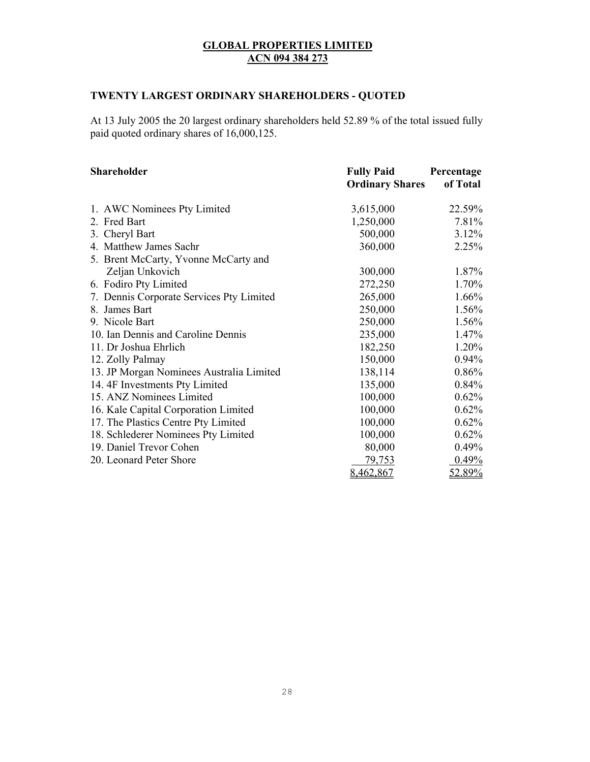## **TWENTY LARGEST ORDINARY SHAREHOLDERS - QUOTED**

At 13 July 2005 the 20 largest ordinary shareholders held 52.89 % of the total issued fully paid quoted ordinary shares of 16,000,125.

| Shareholder                              | <b>Fully Paid</b>      | Percentage |
|------------------------------------------|------------------------|------------|
|                                          | <b>Ordinary Shares</b> | of Total   |
| 1. AWC Nominees Pty Limited              | 3,615,000              | 22.59%     |
| 2. Fred Bart                             | 1,250,000              | 7.81%      |
| 3. Cheryl Bart                           | 500,000                | 3.12%      |
| 4. Matthew James Sachr                   | 360,000                | 2.25%      |
| 5. Brent McCarty, Yvonne McCarty and     |                        |            |
| Zeljan Unkovich                          | 300,000                | 1.87%      |
| 6. Fodiro Pty Limited                    | 272,250                | 1.70%      |
| 7. Dennis Corporate Services Pty Limited | 265,000                | 1.66%      |
| 8. James Bart                            | 250,000                | 1.56%      |
| 9. Nicole Bart                           | 250,000                | 1.56%      |
| 10. Ian Dennis and Caroline Dennis       | 235,000                | 1.47%      |
| 11. Dr Joshua Ehrlich                    | 182,250                | 1.20%      |
| 12. Zolly Palmay                         | 150,000                | $0.94\%$   |
| 13. JP Morgan Nominees Australia Limited | 138,114                | 0.86%      |
| 14.4F Investments Pty Limited            | 135,000                | 0.84%      |
| 15. ANZ Nominees Limited                 | 100,000                | 0.62%      |
| 16. Kale Capital Corporation Limited     | 100,000                | 0.62%      |
| 17. The Plastics Centre Pty Limited      | 100,000                | 0.62%      |
| 18. Schlederer Nominees Pty Limited      | 100,000                | 0.62%      |
| 19. Daniel Trevor Cohen                  | 80,000                 | 0.49%      |
| 20. Leonard Peter Shore                  | 79,753                 | 0.49%      |
|                                          | 8,462,867              | 52.89%     |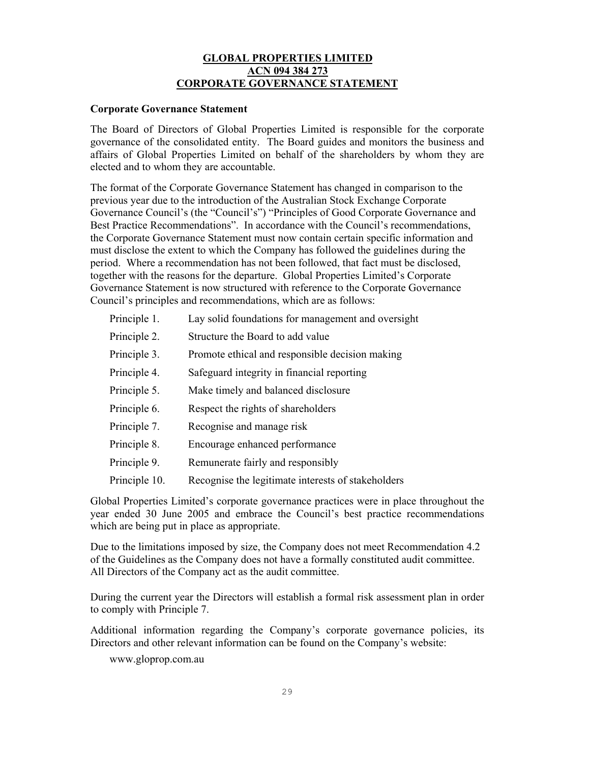## **GLOBAL PROPERTIES LIMITED ACN 094 384 273 CORPORATE GOVERNANCE STATEMENT**

## **Corporate Governance Statement**

The Board of Directors of Global Properties Limited is responsible for the corporate governance of the consolidated entity. The Board guides and monitors the business and affairs of Global Properties Limited on behalf of the shareholders by whom they are elected and to whom they are accountable.

The format of the Corporate Governance Statement has changed in comparison to the previous year due to the introduction of the Australian Stock Exchange Corporate Governance Council's (the "Council's") "Principles of Good Corporate Governance and Best Practice Recommendations". In accordance with the Council's recommendations, the Corporate Governance Statement must now contain certain specific information and must disclose the extent to which the Company has followed the guidelines during the period. Where a recommendation has not been followed, that fact must be disclosed, together with the reasons for the departure. Global Properties Limited's Corporate Governance Statement is now structured with reference to the Corporate Governance Council's principles and recommendations, which are as follows:

| Principle 1.  | Lay solid foundations for management and oversight |
|---------------|----------------------------------------------------|
| Principle 2.  | Structure the Board to add value                   |
| Principle 3.  | Promote ethical and responsible decision making    |
| Principle 4.  | Safeguard integrity in financial reporting         |
| Principle 5.  | Make timely and balanced disclosure                |
| Principle 6.  | Respect the rights of shareholders                 |
| Principle 7.  | Recognise and manage risk                          |
| Principle 8.  | Encourage enhanced performance                     |
| Principle 9.  | Remunerate fairly and responsibly                  |
| Principle 10. | Recognise the legitimate interests of stakeholders |
|               |                                                    |

Global Properties Limited's corporate governance practices were in place throughout the year ended 30 June 2005 and embrace the Council's best practice recommendations which are being put in place as appropriate.

Due to the limitations imposed by size, the Company does not meet Recommendation 4.2 of the Guidelines as the Company does not have a formally constituted audit committee. All Directors of the Company act as the audit committee.

During the current year the Directors will establish a formal risk assessment plan in order to comply with Principle 7.

Additional information regarding the Company's corporate governance policies, its Directors and other relevant information can be found on the Company's website:

www.gloprop.com.au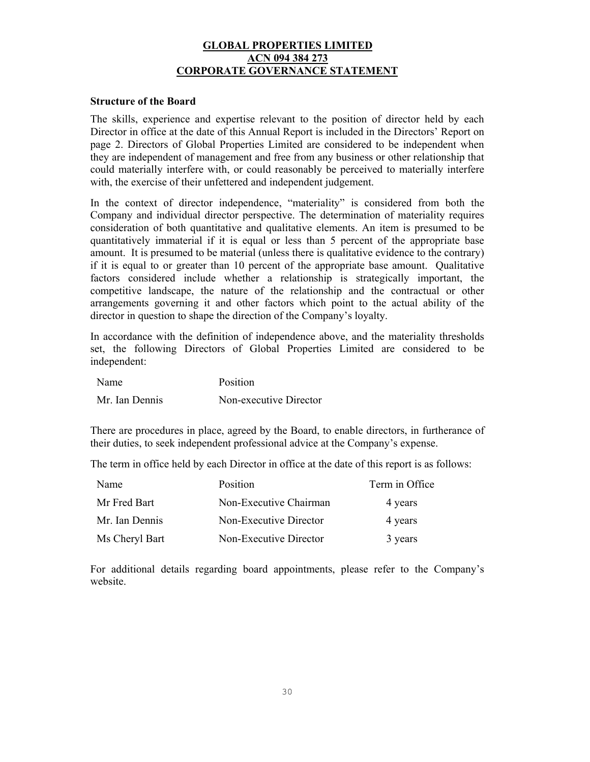## **GLOBAL PROPERTIES LIMITED ACN 094 384 273 CORPORATE GOVERNANCE STATEMENT**

### **Structure of the Board**

The skills, experience and expertise relevant to the position of director held by each Director in office at the date of this Annual Report is included in the Directors' Report on page 2. Directors of Global Properties Limited are considered to be independent when they are independent of management and free from any business or other relationship that could materially interfere with, or could reasonably be perceived to materially interfere with, the exercise of their unfettered and independent judgement.

In the context of director independence, "materiality" is considered from both the Company and individual director perspective. The determination of materiality requires consideration of both quantitative and qualitative elements. An item is presumed to be quantitatively immaterial if it is equal or less than 5 percent of the appropriate base amount. It is presumed to be material (unless there is qualitative evidence to the contrary) if it is equal to or greater than 10 percent of the appropriate base amount. Qualitative factors considered include whether a relationship is strategically important, the competitive landscape, the nature of the relationship and the contractual or other arrangements governing it and other factors which point to the actual ability of the director in question to shape the direction of the Company's loyalty.

In accordance with the definition of independence above, and the materiality thresholds set, the following Directors of Global Properties Limited are considered to be independent:

| Name           | Position               |
|----------------|------------------------|
| Mr. Ian Dennis | Non-executive Director |

There are procedures in place, agreed by the Board, to enable directors, in furtherance of their duties, to seek independent professional advice at the Company's expense.

The term in office held by each Director in office at the date of this report is as follows:

| Name           | Position               | Term in Office |
|----------------|------------------------|----------------|
| Mr Fred Bart   | Non-Executive Chairman | 4 years        |
| Mr. Ian Dennis | Non-Executive Director | 4 years        |
| Ms Cheryl Bart | Non-Executive Director | 3 years        |

For additional details regarding board appointments, please refer to the Company's website.